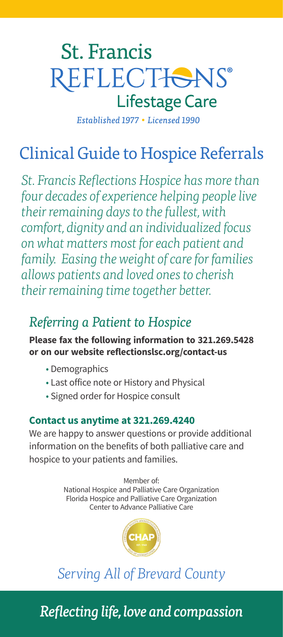# **St. Francis** REFLECTIONS® **Lifestage Care**

Established 1977 . Licensed 1990

# Clinical Guide to Hospice Referrals

*St. Francis Reflections Hospice has more than four decades of experience helping people live their remaining days to the fullest, with comfort, dignity and an individualized focus on what matters most for each patient and family. Easing the weight of care for families allows patients and loved ones to cherish their remaining time together better.*

## *Referring a Patient to Hospice*

#### **Please fax the following information to 321.269.5428 or on our website reflectionslsc.org/contact-us**

- Demographics
- Last office note or History and Physical
- Signed order for Hospice consult

#### **Contact us anytime at 321.269.4240**

We are happy to answer questions or provide additional information on the benefits of both palliative care and hospice to your patients and families.

> Member of: National Hospice and Palliative Care Organization Florida Hospice and Palliative Care Organization Center to Advance Palliative Care



# *Serving All of Brevard County*

*Reflecting life, love and compassion*